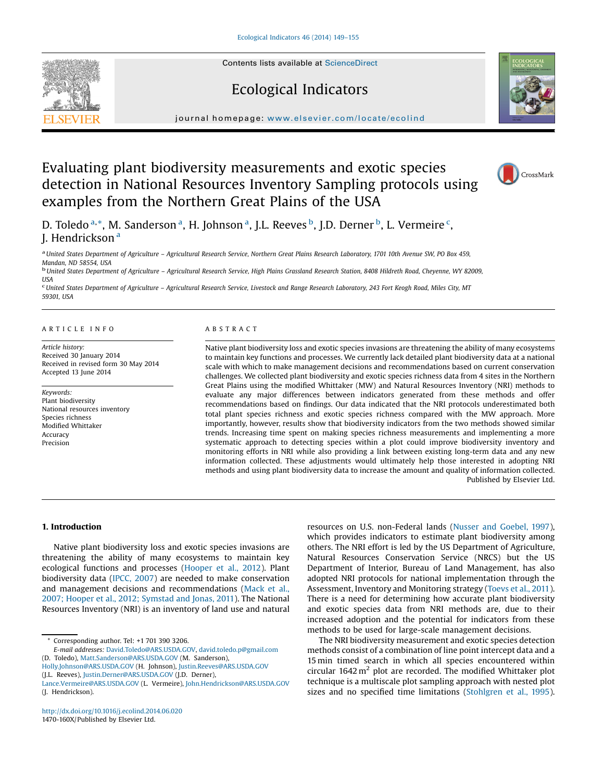Contents lists available at [ScienceDirect](http://www.sciencedirect.com/science/journal/1470160X)

## Ecological Indicators

journal homepage: <www.elsevier.com/locate/ecolind>

# Evaluating plant biodiversity measurements and exotic species detection in National Resources Inventory Sampling protocols using examples from the Northern Great Plains of the USA

D. Toledo <sup>a,</sup>\*, M. Sanderson <sup>a</sup>, H. Johnson <sup>a</sup>, J.L. Reeves <sup>b</sup>, J.D. Derner <sup>b</sup>, L. Vermeire <sup>c</sup>, J. Hendrickson<sup>a</sup>

a United States Department of Agriculture - Agricultural Research Service, Northern Great Plains Research Laboratory, 1701 10th Avenue SW, PO Box 459, Mandan, ND 58554, USA<br><sup>b</sup> United States Department of Agriculture – Agricultural Research Service, High Plains Grassland Research Station, 8408 Hildreth Road, Cheyenne, WY 82009,

**USA** 

<sup>c</sup> United States Department of Agriculture – Agricultural Research Service, Livestock and Range Research Laboratory, 243 Fort Keogh Road, Miles City, MT 59301, USA

#### A R T I C L E I N F O

Article history: Received 30 January 2014 Received in revised form 30 May 2014 Accepted 13 June 2014

Keywords: Plant biodiversity National resources inventory Species richness Modified Whittaker Accuracy Precision

## A B S T R A C T

Native plant biodiversity loss and exotic species invasions are threatening the ability of many ecosystems to maintain key functions and processes. We currently lack detailed plant biodiversity data at a national scale with which to make management decisions and recommendations based on current conservation challenges. We collected plant biodiversity and exotic species richness data from 4 sites in the Northern Great Plains using the modified Whittaker (MW) and Natural Resources Inventory (NRI) methods to evaluate any major differences between indicators generated from these methods and offer recommendations based on findings. Our data indicated that the NRI protocols underestimated both total plant species richness and exotic species richness compared with the MW approach. More importantly, however, results show that biodiversity indicators from the two methods showed similar trends. Increasing time spent on making species richness measurements and implementing a more systematic approach to detecting species within a plot could improve biodiversity inventory and monitoring efforts in NRI while also providing a link between existing long-term data and any new information collected. These adjustments would ultimately help those interested in adopting NRI methods and using plant biodiversity data to increase the amount and quality of information collected. Published by Elsevier Ltd.

1. Introduction

Native plant biodiversity loss and exotic species invasions are threatening the ability of many ecosystems to maintain key ecological functions and processes [\(Hooper](#page-6-0) et al., 2012). Plant biodiversity data (IPCC, [2007](#page-6-0)) are needed to make conservation and management decisions and recommendations ([Mack](#page-6-0) et al., 2007; Hooper et al., 2012; [Symstad](#page-6-0) and Jonas, 2011). The National Resources Inventory (NRI) is an inventory of land use and natural

Corresponding author. Tel: +1 701 390 3206.

E-mail addresses: [David.Toledo@ARS.USDA.GOV](mailto:David.Toledo@ARS.USDA.GOV), [david.toledo.p@gmail.com](mailto:david.toledo.p@gmail.com)

(D. Toledo), [Matt.Sanderson@ARS.USDA.GOV](mailto:Matt.Sanderson@ARS.USDA.GOV) (M. Sanderson), [Holly.Johnson@ARS.USDA.GOV](mailto:Holly.Johnson@ARS.USDA.GOV) (H. Johnson), [Justin.Reeves@ARS.USDA.GOV](mailto:Justin.Reeves@ARS.USDA.GOV)

(J.L. Reeves), [Justin.Derner@ARS.USDA.GOV](mailto:Justin.Derner@ARS.USDA.GOV) (J.D. Derner),

<http://dx.doi.org/10.1016/j.ecolind.2014.06.020> 1470-160X/Published by Elsevier Ltd.

resources on U.S. non-Federal lands (Nusser and [Goebel,](#page-6-0) 1997), which provides indicators to estimate plant biodiversity among others. The NRI effort is led by the US Department of Agriculture, Natural Resources Conservation Service (NRCS) but the US Department of Interior, Bureau of Land Management, has also adopted NRI protocols for national implementation through the Assessment, Inventory and Monitoring strategy ([Toevs](#page-6-0) et al., 2011). There is a need for determining how accurate plant biodiversity and exotic species data from NRI methods are, due to their increased adoption and the potential for indicators from these methods to be used for large-scale management decisions.

The NRI biodiversity measurement and exotic species detection methods consist of a combination of line point intercept data and a 15 min timed search in which all species encountered within circular  $1642 \text{ m}^2$  plot are recorded. The modified Whittaker plot technique is a multiscale plot sampling approach with nested plot sizes and no specified time limitations [\(Stohlgren](#page-6-0) et al., 1995).





CrossMark

[Lance.Vermeire@ARS.USDA.GOV](mailto:Lance.Vermeire@ARS.USDA.GOV) (L. Vermeire), [John.Hendrickson@ARS.USDA.GOV](mailto:John.Hendrickson@ARS.USDA.GOV) (J. Hendrickson).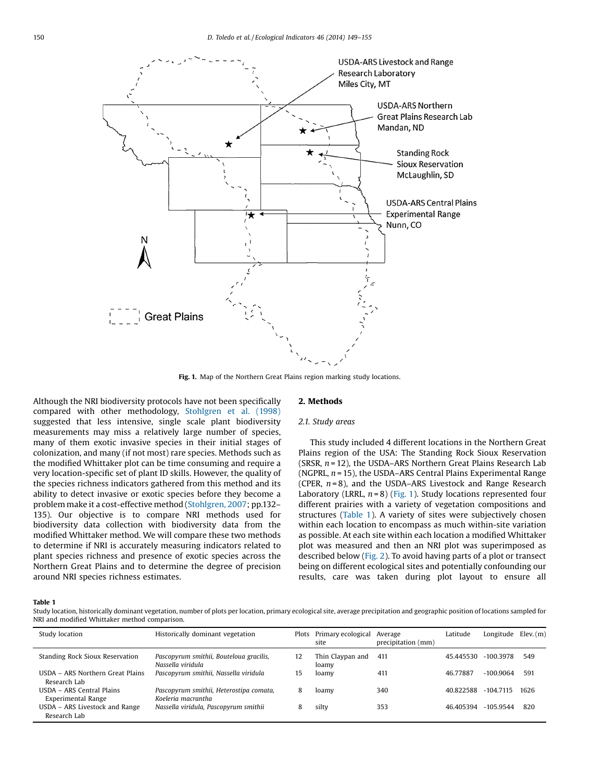

Fig. 1. Map of the Northern Great Plains region marking study locations.

Although the NRI biodiversity protocols have not been specifically compared with other methodology, [Stohlgren](#page-6-0) et al. (1998) suggested that less intensive, single scale plant biodiversity measurements may miss a relatively large number of species, many of them exotic invasive species in their initial stages of colonization, and many (if not most) rare species. Methods such as the modified Whittaker plot can be time consuming and require a very location-specific set of plant ID skills. However, the quality of the species richness indicators gathered from this method and its ability to detect invasive or exotic species before they become a problem make it a cost-effective method ([Stohlgren,](#page-6-0) 2007; pp.132– 135). Our objective is to compare NRI methods used for biodiversity data collection with biodiversity data from the modified Whittaker method. We will compare these two methods to determine if NRI is accurately measuring indicators related to plant species richness and presence of exotic species across the Northern Great Plains and to determine the degree of precision around NRI species richness estimates.

### 2. Methods

## 2.1. Study areas

This study included 4 different locations in the Northern Great Plains region of the USA: The Standing Rock Sioux Reservation (SRSR,  $n = 12$ ), the USDA–ARS Northern Great Plains Research Lab (NGPRL,  $n = 15$ ), the USDA–ARS Central Plains Experimental Range (CPER,  $n = 8$ ), and the USDA–ARS Livestock and Range Research Laboratory (LRRL,  $n = 8$ ) (Fig. 1). Study locations represented four different prairies with a variety of vegetation compositions and structures (Table 1). A variety of sites were subjectively chosen within each location to encompass as much within-site variation as possible. At each site within each location a modified Whittaker plot was measured and then an NRI plot was superimposed as described below [\(Fig.](#page-2-0) 2). To avoid having parts of a plot or transect being on different ecological sites and potentially confounding our results, care was taken during plot layout to ensure all

#### Table 1

Study location, historically dominant vegetation, number of plots per location, primary ecological site, average precipitation and geographic position of locations sampled for NRI and modified Whittaker method comparison.

| Study location                                         | Historically dominant vegetation                              |    | Plots Primary ecological Average<br>site | precipitation (mm) | Latitude  | Longitude   | Elev.(m) |
|--------------------------------------------------------|---------------------------------------------------------------|----|------------------------------------------|--------------------|-----------|-------------|----------|
| <b>Standing Rock Sioux Reservation</b>                 | Pascopyrum smithii, Bouteloua gracilis,<br>Nassella viridula  | 12 | Thin Claypan and<br>loamy                | 411                | 45.445530 | $-100.3978$ | 549      |
| USDA - ARS Northern Great Plains<br>Research Lab       | Pascopyrum smithii, Nassella viridula                         | 15 | loamv                                    | 411                | 46.77887  | $-100.9064$ | 591      |
| USDA - ARS Central Plains<br><b>Experimental Range</b> | Pascopyrum smithii, Heterostipa comata,<br>Koeleria macrantha | 8  | loamy                                    | 340                | 40.822588 | $-104.7115$ | 1626     |
| USDA - ARS Livestock and Range<br>Research Lab         | Nassella viridula, Pascopyrum smithii                         |    | silty                                    | 353                | 46.405394 | $-105.9544$ | 820      |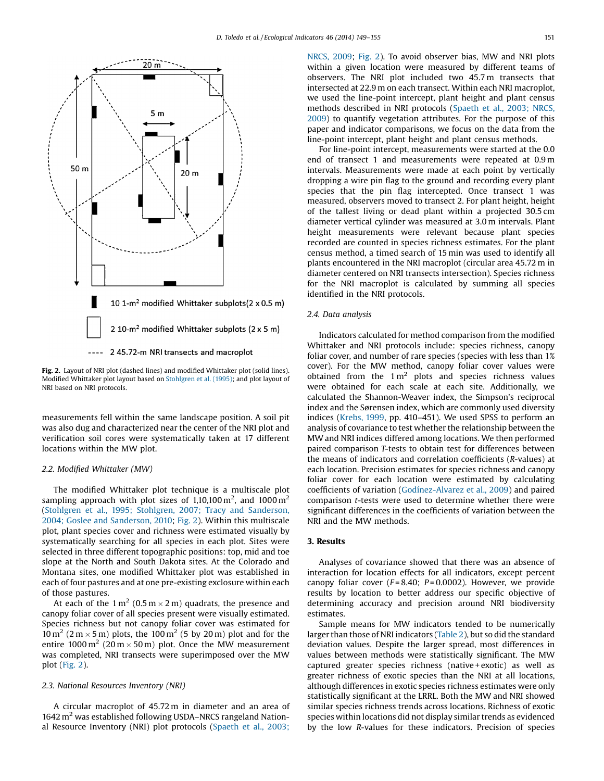<span id="page-2-0"></span>

Fig. 2. Layout of NRI plot (dashed lines) and modified Whittaker plot (solid lines). Modified Whittaker plot layout based on [Stohlgren](#page-6-0) et al. (1995); and plot layout of NRI based on NRI protocols.

measurements fell within the same landscape position. A soil pit was also dug and characterized near the center of the NRI plot and verification soil cores were systematically taken at 17 different locations within the MW plot.

#### 2.2. Modified Whittaker (MW)

The modified Whittaker plot technique is a multiscale plot sampling approach with plot sizes of 1,10,100  $\mathrm{m}^2$ , and 1000  $\mathrm{m}^2$ (Stohlgren et al., 1995; Stohlgren, 2007; Tracy and [Sanderson,](#page-6-0) 2004; Goslee and [Sanderson,](#page-6-0) 2010; Fig. 2). Within this multiscale plot, plant species cover and richness were estimated visually by systematically searching for all species in each plot. Sites were selected in three different topographic positions: top, mid and toe slope at the North and South Dakota sites. At the Colorado and Montana sites, one modified Whittaker plot was established in each of four pastures and at one pre-existing exclosure within each of those pastures.

At each of the  $1 \text{ m}^2 (0.5 \text{ m} \times 2 \text{ m})$  quadrats, the presence and canopy foliar cover of all species present were visually estimated. Species richness but not canopy foliar cover was estimated for  $10 \,\mathrm{m}^2$  (2 m  $\times$  5 m) plots, the 100 m<sup>2</sup> (5 by 20 m) plot and for the entire 1000 m<sup>2</sup> (20 m  $\times$  50 m) plot. Once the MW measurement was completed, NRI transects were superimposed over the MW plot (Fig. 2).

### 2.3. National Resources Inventory (NRI)

A circular macroplot of 45.72 m in diameter and an area of  $1642 \text{ m}^2$  was established following USDA–NRCS rangeland National Resource Inventory (NRI) plot protocols [\(Spaeth](#page-6-0) et al., 2003;

[NRCS,](#page-6-0) 2009; Fig. 2). To avoid observer bias, MW and NRI plots within a given location were measured by different teams of observers. The NRI plot included two 45.7 m transects that intersected at 22.9 m on each transect. Within each NRI macroplot, we used the line-point intercept, plant height and plant census methods described in NRI protocols [\(Spaeth](#page-6-0) et al., 2003; NRCS, [2009\)](#page-6-0) to quantify vegetation attributes. For the purpose of this paper and indicator comparisons, we focus on the data from the line-point intercept, plant height and plant census methods.

For line-point intercept, measurements were started at the 0.0 end of transect 1 and measurements were repeated at 0.9 m intervals. Measurements were made at each point by vertically dropping a wire pin flag to the ground and recording every plant species that the pin flag intercepted. Once transect 1 was measured, observers moved to transect 2. For plant height, height of the tallest living or dead plant within a projected 30.5 cm diameter vertical cylinder was measured at 3.0 m intervals. Plant height measurements were relevant because plant species recorded are counted in species richness estimates. For the plant census method, a timed search of 15 min was used to identify all plants encountered in the NRI macroplot (circular area 45.72 m in diameter centered on NRI transects intersection). Species richness for the NRI macroplot is calculated by summing all species identified in the NRI protocols.

### 2.4. Data analysis

Indicators calculated for method comparison from the modified Whittaker and NRI protocols include: species richness, canopy foliar cover, and number of rare species (species with less than 1% cover). For the MW method, canopy foliar cover values were obtained from the  $1 \text{ m}^2$  plots and species richness values were obtained for each scale at each site. Additionally, we calculated the Shannon-Weaver index, the Simpson's reciprocal index and the Sørensen index, which are commonly used diversity indices ([Krebs,](#page-6-0) 1999, pp. 410–451). We used SPSS to perform an analysis of covariance to test whether the relationship between the MW and NRI indices differed among locations. We then performed paired comparison T-tests to obtain test for differences between the means of indicators and correlation coefficients (R-values) at each location. Precision estimates for species richness and canopy foliar cover for each location were estimated by calculating coefficients of variation [\(Godínez-Alvarez](#page-6-0) et al., 2009) and paired comparison t-tests were used to determine whether there were significant differences in the coefficients of variation between the NRI and the MW methods.

## 3. Results

Analyses of covariance showed that there was an absence of interaction for location effects for all indicators, except percent canopy foliar cover  $(F = 8.40; P = 0.0002)$ . However, we provide results by location to better address our specific objective of determining accuracy and precision around NRI biodiversity estimates.

Sample means for MW indicators tended to be numerically larger than those of NRI indicators ([Table](#page-3-0) 2), but so did the standard deviation values. Despite the larger spread, most differences in values between methods were statistically significant. The MW captured greater species richness (native + exotic) as well as greater richness of exotic species than the NRI at all locations, although differences in exotic species richness estimates were only statistically significant at the LRRL. Both the MW and NRI showed similar species richness trends across locations. Richness of exotic species within locations did not display similar trends as evidenced by the low R-values for these indicators. Precision of species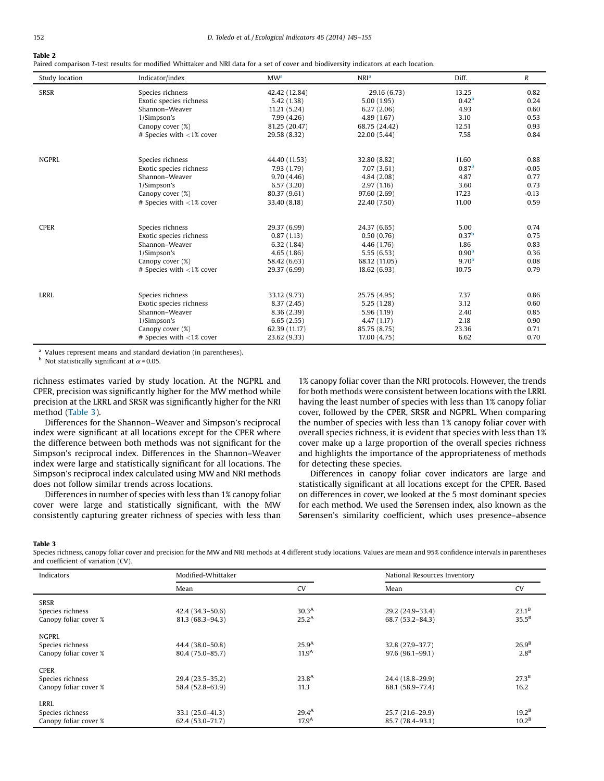<span id="page-3-0"></span>Paired comparison T-test results for modified Whittaker and NRI data for a set of cover and biodiversity indicators at each location.

| Study location | Indicator/index             | MW <sup>a</sup> | NRI <sup>a</sup> | Diff.             | $\boldsymbol{R}$ |
|----------------|-----------------------------|-----------------|------------------|-------------------|------------------|
| <b>SRSR</b>    | Species richness            | 42.42 (12.84)   | 29.16 (6.73)     | 13.25             | 0.82             |
|                | Exotic species richness     | 5.42 (1.38)     | 5.00(1.95)       | 0.42 <sup>b</sup> | 0.24             |
|                | Shannon-Weaver              | 11.21(5.24)     | 6.27(2.06)       | 4.93              | 0.60             |
|                | 1/Simpson's                 | 7.99(4.26)      | 4.89(1.67)       | 3.10              | 0.53             |
|                | Canopy cover (%)            | 81.25 (20.47)   | 68.75 (24.42)    | 12.51             | 0.93             |
|                | # Species with $<$ 1% cover | 29.58 (8.32)    | 22.00 (5.44)     | 7.58              | 0.84             |
| <b>NGPRL</b>   | Species richness            | 44.40 (11.53)   | 32.80 (8.82)     | 11.60             | 0.88             |
|                | Exotic species richness     | 7.93 (1.79)     | 7.07(3.61)       | 0.87 <sup>b</sup> | $-0.05$          |
|                | Shannon-Weaver              | 9.70(4.46)      | 4.84(2.08)       | 4.87              | 0.77             |
|                | 1/Simpson's                 | 6.57(3.20)      | 2.97(1.16)       | 3.60              | 0.73             |
|                | Canopy cover (%)            | 80.37 (9.61)    | 97.60 (2.69)     | 17.23             | $-0.13$          |
|                | # Species with <1% cover    | 33.40 (8.18)    | 22.40 (7.50)     | 11.00             | 0.59             |
| <b>CPER</b>    | Species richness            | 29.37 (6.99)    | 24.37 (6.65)     | 5.00              | 0.74             |
|                | Exotic species richness     | 0.87(1.13)      | 0.50(0.76)       | 0.37 <sup>b</sup> | 0.75             |
|                | Shannon-Weaver              | 6.32(1.84)      | 4.46 (1.76)      | 1.86              | 0.83             |
|                | 1/Simpson's                 | 4.65(1.86)      | 5.55(6.53)       | 0.90 <sup>b</sup> | 0.36             |
|                | Canopy cover (%)            | 58.42 (6.63)    | 68.12 (11.05)    | 9.70 <sup>b</sup> | 0.08             |
|                | # Species with $<$ 1% cover | 29.37 (6.99)    | 18.62 (6.93)     | 10.75             | 0.79             |
| <b>LRRL</b>    | Species richness            | 33.12 (9.73)    | 25.75 (4.95)     | 7.37              | 0.86             |
|                | Exotic species richness     | 8.37(2.45)      | 5.25(1.28)       | 3.12              | 0.60             |
|                | Shannon-Weaver              | 8.36(2.39)      | 5.96(1.19)       | 2.40              | 0.85             |
|                | 1/Simpson's                 | 6.65(2.55)      | 4.47 (1.17)      | 2.18              | 0.90             |
|                | Canopy cover (%)            | 62.39 (11.17)   | 85.75 (8.75)     | 23.36             | 0.71             |
|                | # Species with $<$ 1% cover | 23.62 (9.33)    | 17.00 (4.75)     | 6.62              | 0.70             |

<sup>a</sup> Values represent means and standard deviation (in parentheses).

 $<sup>b</sup>$  Not statistically significant at  $\alpha$  = 0.05.</sup>

richness estimates varied by study location. At the NGPRL and CPER, precision was significantly higher for the MW method while precision at the LRRL and SRSR was significantly higher for the NRI method (Table 3).

Differences for the Shannon–Weaver and Simpson's reciprocal index were significant at all locations except for the CPER where the difference between both methods was not significant for the Simpson's reciprocal index. Differences in the Shannon–Weaver index were large and statistically significant for all locations. The Simpson's reciprocal index calculated using MW and NRI methods does not follow similar trends across locations.

Differences in number of species with less than 1% canopy foliar cover were large and statistically significant, with the MW consistently capturing greater richness of species with less than 1% canopy foliar cover than the NRI protocols. However, the trends for both methods were consistent between locations with the LRRL having the least number of species with less than 1% canopy foliar cover, followed by the CPER, SRSR and NGPRL. When comparing the number of species with less than 1% canopy foliar cover with overall species richness, it is evident that species with less than 1% cover make up a large proportion of the overall species richness and highlights the importance of the appropriateness of methods for detecting these species.

Differences in canopy foliar cover indicators are large and statistically significant at all locations except for the CPER. Based on differences in cover, we looked at the 5 most dominant species for each method. We used the Sørensen index, also known as the Sørensen's similarity coefficient, which uses presence–absence

Table 3

Species richness, canopy foliar cover and precision for the MW and NRI methods at 4 different study locations. Values are mean and 95% confidence intervals in parentheses and coefficient of variation (CV).

| Indicators            | Modified-Whittaker  |                   | National Resources Inventory |                   |  |
|-----------------------|---------------------|-------------------|------------------------------|-------------------|--|
|                       | Mean                | <b>CV</b>         | Mean                         | <b>CV</b>         |  |
| <b>SRSR</b>           |                     |                   |                              |                   |  |
| Species richness      | 42.4 (34.3-50.6)    | 30.3 <sup>A</sup> | 29.2 (24.9-33.4)             | $23.1^B$          |  |
| Canopy foliar cover % | $81.3(68.3 - 94.3)$ | $25.2^A$          | 68.7 (53.2-84.3)             | $35.5^B$          |  |
| NGPRL                 |                     |                   |                              |                   |  |
| Species richness      | 44.4 (38.0-50.8)    | $25.9^{A}$        | 32.8 (27.9-37.7)             | 26.9 <sup>B</sup> |  |
| Canopy foliar cover % | 80.4 (75.0-85.7)    | 11.9 <sup>A</sup> | 97.6 (96.1-99.1)             | $2.8^B$           |  |
| <b>CPER</b>           |                     |                   |                              |                   |  |
| Species richness      | 29.4 (23.5-35.2)    | $23.8^{A}$        | 24.4 (18.8-29.9)             | 27.3 <sup>B</sup> |  |
| Canopy foliar cover % | 58.4 (52.8-63.9)    | 11.3              | 68.1 (58.9-77.4)             | 16.2              |  |
| LRRL                  |                     |                   |                              |                   |  |
| Species richness      | $33.1(25.0-41.3)$   | $29.4^{\text{A}}$ | 25.7 (21.6-29.9)             | $19.2^B$          |  |
| Canopy foliar cover % | $62.4(53.0 - 71.7)$ | 17.9 <sup>A</sup> | 85.7 (78.4-93.1)             | 10.2 <sup>B</sup> |  |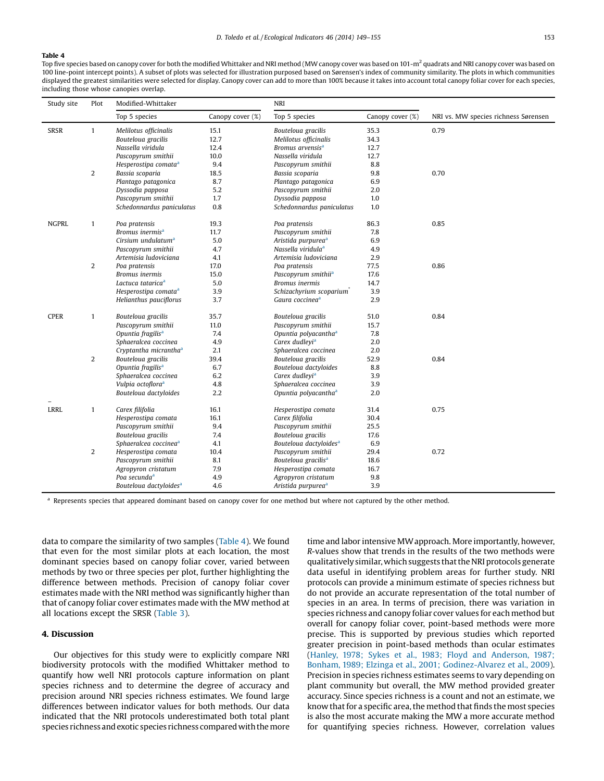## Table 4

Top five species based on canopy cover for both the modified Whittaker and NRI method (MW canopy cover was based on 101-m<sup>2</sup> quadrats and NRI canopy cover was based on 100 line-point intercept points). A subset of plots was selected for illustration purposed based on Sørensen's index of community similarity. The plots in which communities displayed the greatest similarities were selected for display. Canopy cover can add to more than 100% because it takes into account total canopy foliar cover for each species, including those whose canopies overlap.

| Study site   | Plot           | Modified-Whittaker                 |                  | <b>NRI</b>                         |                  |                                      |
|--------------|----------------|------------------------------------|------------------|------------------------------------|------------------|--------------------------------------|
|              |                | Top 5 species                      | Canopy cover (%) | Top 5 species                      | Canopy cover (%) | NRI vs. MW species richness Sørensen |
| <b>SRSR</b>  | $\mathbf{1}$   | Melilotus officinalis              | 15.1             | Bouteloua gracilis                 | 35.3             | 0.79                                 |
|              |                | Bouteloua gracilis                 | 12.7             | Melilotus officinalis              | 34.3             |                                      |
|              |                | Nassella viridula                  | 12.4             | Bromus arvensis <sup>a</sup>       | 12.7             |                                      |
|              |                | Pascopyrum smithii                 | 10.0             | Nassella viridula                  | 12.7             |                                      |
|              |                | Hesperostipa comata <sup>a</sup>   | 9.4              | Pascopyrum smithii                 | 8.8              |                                      |
|              | $\overline{2}$ | Bassia scoparia                    | 18.5             | Bassia scoparia                    | 9.8              | 0.70                                 |
|              |                | Plantago patagonica                | 8.7              | Plantago patagonica                | 6.9              |                                      |
|              |                | Dyssodia papposa                   | 5.2              | Pascopyrum smithii                 | 2.0              |                                      |
|              |                | Pascopyrum smithii                 | 1.7              | Dyssodia papposa                   | 1.0              |                                      |
|              |                | Schedonnardus paniculatus          | 0.8              | Schedonnardus paniculatus          | 1.0              |                                      |
| <b>NGPRL</b> | $\mathbf{1}$   | Poa pratensis                      | 19.3             | Poa pratensis                      | 86.3             | 0.85                                 |
|              |                | Bromus inermis <sup>a</sup>        | 11.7             | Pascopyrum smithii                 | 7.8              |                                      |
|              |                | Cirsium undulatum <sup>a</sup>     | 5.0              | Aristida purpurea <sup>a</sup>     | 6.9              |                                      |
|              |                | Pascopyrum smithii                 | 4.7              | Nassella viridula <sup>a</sup>     | 4.9              |                                      |
|              |                | Artemisia ludoviciana              | 4.1              | Artemisia ludoviciana              | 2.9              |                                      |
|              | $\overline{c}$ | Poa pratensis                      | 17.0             | Poa pratensis                      | 77.5             | 0.86                                 |
|              |                | Bromus inermis                     | 15.0             | Pascopyrum smithii <sup>a</sup>    | 17.6             |                                      |
|              |                | Lactuca tataricaª                  | 5.0              | Bromus inermis                     | 14.7             |                                      |
|              |                | Hesperostipa comata <sup>a</sup>   | 3.9              | Schizachyrium scoparium            | 3.9              |                                      |
|              |                | Helianthus pauciflorus             | 3.7              | Gaura coccinea <sup>a</sup>        | 2.9              |                                      |
| <b>CPER</b>  | $\mathbf{1}$   | Bouteloua gracilis                 | 35.7             | Bouteloua gracilis                 | 51.0             | 0.84                                 |
|              |                | Pascopyrum smithii                 | 11.0             | Pascopyrum smithii                 | 15.7             |                                      |
|              |                | Opuntia fragilis <sup>a</sup>      | 7.4              | Opuntia polyacantha <sup>a</sup>   | 7.8              |                                      |
|              |                | Sphaeralcea coccinea               | 4.9              | Carex dudleyi <sup>a</sup>         | 2.0              |                                      |
|              |                | Cryptantha micrantha <sup>a</sup>  | 2.1              | Sphaeralcea coccinea               | 2.0              |                                      |
|              | $\overline{2}$ | Bouteloua gracilis                 | 39.4             | Bouteloua gracilis                 | 52.9             | 0.84                                 |
|              |                | Opuntia fragilis <sup>a</sup>      | 6.7              | Bouteloua dactyloides              | 8.8              |                                      |
|              |                | Sphaeralcea coccinea               | 6.2              | Carex dudleyi <sup>a</sup>         | 3.9              |                                      |
|              |                | Vulpia octoflora <sup>a</sup>      | 4.8              | Sphaeralcea coccinea               | 3.9              |                                      |
|              |                | Bouteloua dactyloides              | 2.2              | Opuntia polyacantha <sup>a</sup>   | 2.0              |                                      |
| <b>LRRL</b>  | $\mathbf{1}$   | Carex filifolia                    | 16.1             | Hesperostipa comata                | 31.4             | 0.75                                 |
|              |                | Hesperostipa comata                | 16.1             | Carex filifolia                    | 30.4             |                                      |
|              |                | Pascopyrum smithii                 | 9.4              | Pascopyrum smithii                 | 25.5             |                                      |
|              |                | Bouteloua gracilis                 | 7.4              | Bouteloua gracilis                 | 17.6             |                                      |
|              |                | Sphaeralcea coccinea <sup>a</sup>  | 4.1              | Bouteloua dactyloides <sup>a</sup> | 6.9              |                                      |
|              | $\overline{c}$ | Hesperostipa comata                | 10.4             | Pascopyrum smithii                 | 29.4             | 0.72                                 |
|              |                | Pascopyrum smithii                 | 8.1              | Bouteloua gracilis <sup>a</sup>    | 18.6             |                                      |
|              |                | Agropyron cristatum                | 7.9              | Hesperostipa comata                | 16.7             |                                      |
|              |                | Poa secundaª                       | 4.9              | Agropyron cristatum                | 9.8              |                                      |
|              |                | Bouteloua dactyloides <sup>a</sup> | 4.6              | Aristida purpurea <sup>a</sup>     | 3.9              |                                      |

<sup>a</sup> Represents species that appeared dominant based on canopy cover for one method but where not captured by the other method.

data to compare the similarity of two samples (Table 4). We found that even for the most similar plots at each location, the most dominant species based on canopy foliar cover, varied between methods by two or three species per plot, further highlighting the difference between methods. Precision of canopy foliar cover estimates made with the NRI method was significantly higher than that of canopy foliar cover estimates made with the MW method at all locations except the SRSR [\(Table](#page-3-0) 3).

## 4. Discussion

Our objectives for this study were to explicitly compare NRI biodiversity protocols with the modified Whittaker method to quantify how well NRI protocols capture information on plant species richness and to determine the degree of accuracy and precision around NRI species richness estimates. We found large differences between indicator values for both methods. Our data indicated that the NRI protocols underestimated both total plant species richness and exotic species richness compared with the more time and labor intensive MWapproach. More importantly, however, R-values show that trends in the results of the two methods were qualitatively similar, which suggests that the NRI protocols generate data useful in identifying problem areas for further study. NRI protocols can provide a minimum estimate of species richness but do not provide an accurate representation of the total number of species in an area. In terms of precision, there was variation in species richness and canopy foliar cover values for each method but overall for canopy foliar cover, point-based methods were more precise. This is supported by previous studies which reported greater precision in point-based methods than ocular estimates (Hanley, 1978; Sykes et al., 1983; Floyd and [Anderson,](#page-6-0) 1987; Bonham, 1989; Elzinga et al., 2001; [Godinez-Alvarez](#page-6-0) et al., 2009). Precision in species richness estimates seems to vary depending on plant community but overall, the MW method provided greater accuracy. Since species richness is a count and not an estimate, we know that for a specific area, the method that finds the most species is also the most accurate making the MW a more accurate method for quantifying species richness. However, correlation values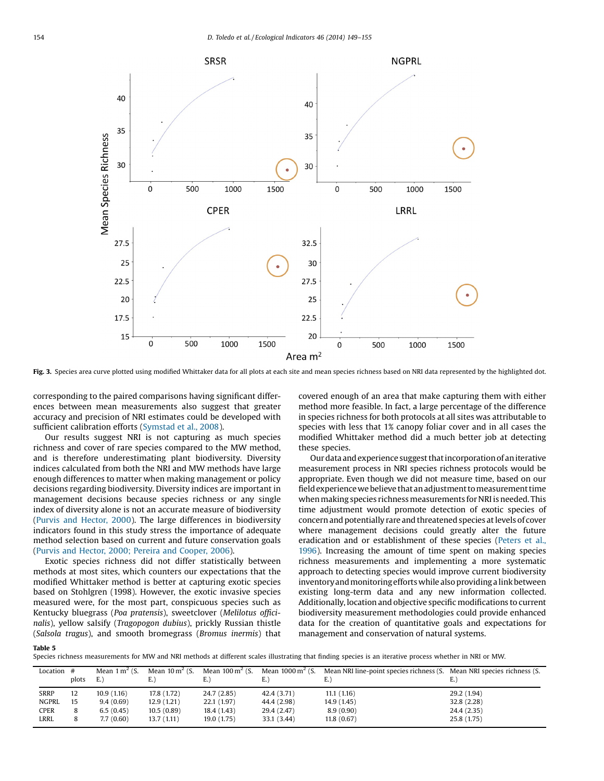<span id="page-5-0"></span>

Fig. 3. Species area curve plotted using modified Whittaker data for all plots at each site and mean species richness based on NRI data represented by the highlighted dot.

corresponding to the paired comparisons having significant differences between mean measurements also suggest that greater accuracy and precision of NRI estimates could be developed with sufficient calibration efforts ([Symstad](#page-6-0) et al., 2008).

Our results suggest NRI is not capturing as much species richness and cover of rare species compared to the MW method, and is therefore underestimating plant biodiversity. Diversity indices calculated from both the NRI and MW methods have large enough differences to matter when making management or policy decisions regarding biodiversity. Diversity indices are important in management decisions because species richness or any single index of diversity alone is not an accurate measure of biodiversity (Purvis and [Hector,](#page-6-0) 2000). The large differences in biodiversity indicators found in this study stress the importance of adequate method selection based on current and future conservation goals (Purvis and Hector, 2000; Pereira and [Cooper,](#page-6-0) 2006).

Exotic species richness did not differ statistically between methods at most sites, which counters our expectations that the modified Whittaker method is better at capturing exotic species based on Stohlgren (1998). However, the exotic invasive species measured were, for the most part, conspicuous species such as Kentucky bluegrass (Poa pratensis), sweetclover (Melilotus officinalis), yellow salsify (Tragopogon dubius), prickly Russian thistle (Salsola tragus), and smooth bromegrass (Bromus inermis) that covered enough of an area that make capturing them with either method more feasible. In fact, a large percentage of the difference in species richness for both protocols at all sites was attributable to species with less that 1% canopy foliar cover and in all cases the modified Whittaker method did a much better job at detecting these species.

Ourdata andexperiencesuggestthatincorporationofaniterative measurement process in NRI species richness protocols would be appropriate. Even though we did not measure time, based on our field experience we believe that an adjustment to measurement time when making species richness measurements for NRI is needed. This time adjustment would promote detection of exotic species of concern and potentially rare and threatened species at levels of cover where management decisions could greatly alter the future eradication and or establishment of these species [\(Peters](#page-6-0) et al., [1996](#page-6-0)). Increasing the amount of time spent on making species richness measurements and implementing a more systematic approach to detecting species would improve current biodiversity inventory and monitoring efforts while also providing a link between existing long-term data and any new information collected. Additionally, locationand objective specific modifications to current biodiversity measurement methodologies could provide enhanced data for the creation of quantitative goals and expectations for management and conservation of natural systems.

|--|--|

Species richness measurements for MW and NRI methods at different scales illustrating that finding species is an iterative process whether in NRI or MW.

| Location #   | plots | Mean $1 \text{ m}^2$ (S.<br>E. | Mean $10 \text{ m}^2$ (S.<br>E.) | Mean $100 \text{ m}^2$ (S.<br>E.) | Mean $1000 \,\mathrm{m}^2$ (S.<br>E.) | Mean NRI line-point species richness (S. Mean NRI species richness (S.<br>E.) |             |
|--------------|-------|--------------------------------|----------------------------------|-----------------------------------|---------------------------------------|-------------------------------------------------------------------------------|-------------|
| SRRP         | 12    | 10.9(1.16)                     | 17.8 (1.72)                      | 24.7 (2.85)                       | 42.4 (3.71)                           | 11.1(1.16)                                                                    | 29.2 (1.94) |
| <b>NGPRL</b> | 15    | 9.4(0.69)                      | 12.9(1.21)                       | 22.1(1.97)                        | 44.4 (2.98)                           | 14.9 (1.45)                                                                   | 32.8 (2.28) |
| CPER         | 8     | 6.5(0.45)                      | 10.5(0.89)                       | 18.4 (1.43)                       | 29.4 (2.47)                           | 8.9(0.90)                                                                     | 24.4 (2.35) |
| LRRL         | 8     | 7.7(0.60)                      | 13.7(1.11)                       | 19.0 (1.75)                       | 33.1 (3.44)                           | 11.8(0.67)                                                                    | 25.8 (1.75) |